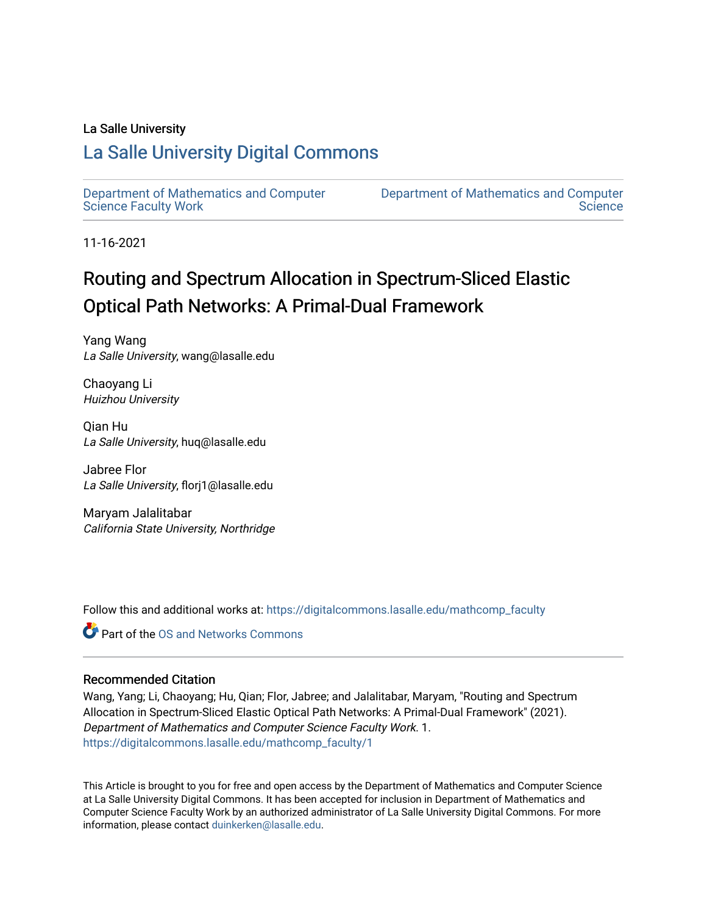## La Salle University

## [La Salle University Digital Commons](https://digitalcommons.lasalle.edu/)

[Department of Mathematics and Computer](https://digitalcommons.lasalle.edu/mathcomp_faculty)  [Science Faculty Work](https://digitalcommons.lasalle.edu/mathcomp_faculty)

[Department of Mathematics and Computer](https://digitalcommons.lasalle.edu/mathcomp)  **Science** 

11-16-2021

# Routing and Spectrum Allocation in Spectrum-Sliced Elastic Optical Path Networks: A Primal-Dual Framework

Yang Wang La Salle University, wang@lasalle.edu

Chaoyang Li Huizhou University

Qian Hu La Salle University, huq@lasalle.edu

Jabree Flor La Salle University, florj1@lasalle.edu

Maryam Jalalitabar California State University, Northridge

Follow this and additional works at: [https://digitalcommons.lasalle.edu/mathcomp\\_faculty](https://digitalcommons.lasalle.edu/mathcomp_faculty?utm_source=digitalcommons.lasalle.edu%2Fmathcomp_faculty%2F1&utm_medium=PDF&utm_campaign=PDFCoverPages) 

**Part of the OS and Networks Commons** 

### Recommended Citation

Wang, Yang; Li, Chaoyang; Hu, Qian; Flor, Jabree; and Jalalitabar, Maryam, "Routing and Spectrum Allocation in Spectrum-Sliced Elastic Optical Path Networks: A Primal-Dual Framework" (2021). Department of Mathematics and Computer Science Faculty Work. 1. [https://digitalcommons.lasalle.edu/mathcomp\\_faculty/1](https://digitalcommons.lasalle.edu/mathcomp_faculty/1?utm_source=digitalcommons.lasalle.edu%2Fmathcomp_faculty%2F1&utm_medium=PDF&utm_campaign=PDFCoverPages) 

This Article is brought to you for free and open access by the Department of Mathematics and Computer Science at La Salle University Digital Commons. It has been accepted for inclusion in Department of Mathematics and Computer Science Faculty Work by an authorized administrator of La Salle University Digital Commons. For more information, please contact [duinkerken@lasalle.edu](mailto:duinkerken@lasalle.edu).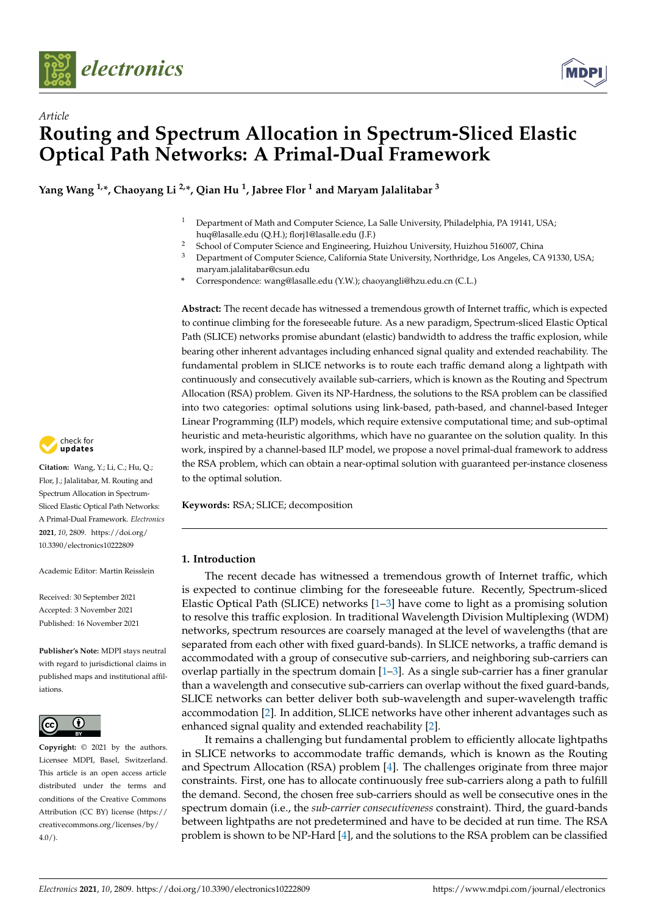![](_page_1_Picture_0.jpeg)

![](_page_1_Picture_1.jpeg)

# *Article* **Routing and Spectrum Allocation in Spectrum-Sliced Elastic Optical Path Networks: A Primal-Dual Framework**

**Yang Wang 1,\*, Chaoyang Li 2,\*, Qian Hu <sup>1</sup> , Jabree Flor <sup>1</sup> and Maryam Jalalitabar <sup>3</sup>**

- <sup>1</sup> Department of Math and Computer Science, La Salle University, Philadelphia, PA 19141, USA; huq@lasalle.edu (Q.H.); florj1@lasalle.edu (J.F.)
- <sup>2</sup> School of Computer Science and Engineering, Huizhou University, Huizhou 516007, China<br><sup>3</sup> Department of Computer Science, California State University, Northridge, Los Angeles, CA
- <sup>3</sup> Department of Computer Science, California State University, Northridge, Los Angeles, CA 91330, USA; maryam.jalalitabar@csun.edu
- **\*** Correspondence: wang@lasalle.edu (Y.W.); chaoyangli@hzu.edu.cn (C.L.)

**Abstract:** The recent decade has witnessed a tremendous growth of Internet traffic, which is expected to continue climbing for the foreseeable future. As a new paradigm, Spectrum-sliced Elastic Optical Path (SLICE) networks promise abundant (elastic) bandwidth to address the traffic explosion, while bearing other inherent advantages including enhanced signal quality and extended reachability. The fundamental problem in SLICE networks is to route each traffic demand along a lightpath with continuously and consecutively available sub-carriers, which is known as the Routing and Spectrum Allocation (RSA) problem. Given its NP-Hardness, the solutions to the RSA problem can be classified into two categories: optimal solutions using link-based, path-based, and channel-based Integer Linear Programming (ILP) models, which require extensive computational time; and sub-optimal heuristic and meta-heuristic algorithms, which have no guarantee on the solution quality. In this work, inspired by a channel-based ILP model, we propose a novel primal-dual framework to address the RSA problem, which can obtain a near-optimal solution with guaranteed per-instance closeness to the optimal solution.

**Keywords:** RSA; SLICE; decomposition

#### **1. Introduction**

The recent decade has witnessed a tremendous growth of Internet traffic, which is expected to continue climbing for the foreseeable future. Recently, Spectrum-sliced Elastic Optical Path (SLICE) networks [\[1](#page-11-0)[–3\]](#page-12-0) have come to light as a promising solution to resolve this traffic explosion. In traditional Wavelength Division Multiplexing (WDM) networks, spectrum resources are coarsely managed at the level of wavelengths (that are separated from each other with fixed guard-bands). In SLICE networks, a traffic demand is accommodated with a group of consecutive sub-carriers, and neighboring sub-carriers can overlap partially in the spectrum domain  $[1-3]$  $[1-3]$ . As a single sub-carrier has a finer granular than a wavelength and consecutive sub-carriers can overlap without the fixed guard-bands, SLICE networks can better deliver both sub-wavelength and super-wavelength traffic accommodation [\[2\]](#page-11-1). In addition, SLICE networks have other inherent advantages such as enhanced signal quality and extended reachability [\[2\]](#page-11-1).

It remains a challenging but fundamental problem to efficiently allocate lightpaths in SLICE networks to accommodate traffic demands, which is known as the Routing and Spectrum Allocation (RSA) problem [\[4\]](#page-12-1). The challenges originate from three major constraints. First, one has to allocate continuously free sub-carriers along a path to fulfill the demand. Second, the chosen free sub-carriers should as well be consecutive ones in the spectrum domain (i.e., the *sub-carrier consecutiveness* constraint). Third, the guard-bands between lightpaths are not predetermined and have to be decided at run time. The RSA problem is shown to be NP-Hard [\[4\]](#page-12-1), and the solutions to the RSA problem can be classified

![](_page_1_Picture_13.jpeg)

**Citation:** Wang, Y.; Li, C.; Hu, Q.; Flor, J.; Jalalitabar, M. Routing and Spectrum Allocation in Spectrum-Sliced Elastic Optical Path Networks: A Primal-Dual Framework. *Electronics* **2021**, *10*, 2809. [https://doi.org/](https://doi.org/10.3390/electronics10222809) [10.3390/electronics10222809](https://doi.org/10.3390/electronics10222809)

Academic Editor: Martin Reisslein

Received: 30 September 2021 Accepted: 3 November 2021 Published: 16 November 2021

**Publisher's Note:** MDPI stays neutral with regard to jurisdictional claims in published maps and institutional affiliations.

![](_page_1_Picture_18.jpeg)

**Copyright:** © 2021 by the authors. Licensee MDPI, Basel, Switzerland. This article is an open access article distributed under the terms and conditions of the Creative Commons Attribution (CC BY) license (https:/[/](https://creativecommons.org/licenses/by/4.0/) [creativecommons.org/licenses/by/](https://creativecommons.org/licenses/by/4.0/)  $4.0/$ ).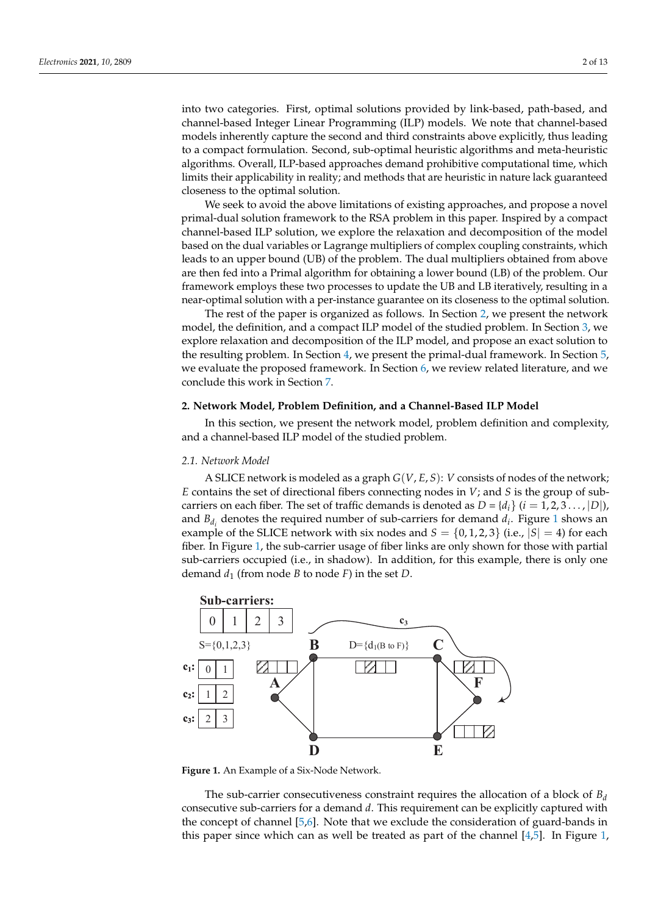into two categories. First, optimal solutions provided by link-based, path-based, and channel-based Integer Linear Programming (ILP) models. We note that channel-based models inherently capture the second and third constraints above explicitly, thus leading to a compact formulation. Second, sub-optimal heuristic algorithms and meta-heuristic algorithms. Overall, ILP-based approaches demand prohibitive computational time, which limits their applicability in reality; and methods that are heuristic in nature lack guaranteed closeness to the optimal solution.

We seek to avoid the above limitations of existing approaches, and propose a novel primal-dual solution framework to the RSA problem in this paper. Inspired by a compact channel-based ILP solution, we explore the relaxation and decomposition of the model based on the dual variables or Lagrange multipliers of complex coupling constraints, which leads to an upper bound (UB) of the problem. The dual multipliers obtained from above are then fed into a Primal algorithm for obtaining a lower bound (LB) of the problem. Our framework employs these two processes to update the UB and LB iteratively, resulting in a near-optimal solution with a per-instance guarantee on its closeness to the optimal solution.

The rest of the paper is organized as follows. In Section [2,](#page-2-0) we present the network model, the definition, and a compact ILP model of the studied problem. In Section [3,](#page-4-0) we explore relaxation and decomposition of the ILP model, and propose an exact solution to the resulting problem. In Section [4,](#page-6-0) we present the primal-dual framework. In Section [5,](#page-8-0) we evaluate the proposed framework. In Section [6,](#page-10-0) we review related literature, and we conclude this work in Section [7.](#page-11-2)

#### <span id="page-2-0"></span>**2. Network Model, Problem Definition, and a Channel-Based ILP Model**

In this section, we present the network model, problem definition and complexity, and a channel-based ILP model of the studied problem.

#### *2.1. Network Model*

A SLICE network is modeled as a graph *G*(*V*, *E*, *S*): *V* consists of nodes of the network; *E* contains the set of directional fibers connecting nodes in *V*; and *S* is the group of subcarriers on each fiber. The set of traffic demands is denoted as  $D = \{d_i\}$   $(i = 1, 2, 3 \dots, |D|)$ , and  $B_{d_i}$  denotes the required number of sub-carriers for demand  $d_i$ . Figure [1](#page-2-1) shows an example of the SLICE network with six nodes and  $S = \{0, 1, 2, 3\}$  (i.e.,  $|S| = 4$ ) for each fiber. In Figure [1,](#page-2-1) the sub-carrier usage of fiber links are only shown for those with partial sub-carriers occupied (i.e., in shadow). In addition, for this example, there is only one demand  $d_1$  (from node *B* to node *F*) in the set *D*.

<span id="page-2-1"></span>![](_page_2_Figure_9.jpeg)

**Figure 1.** An Example of a Six-Node Network.

The sub-carrier consecutiveness constraint requires the allocation of a block of  $B_d$ consecutive sub-carriers for a demand *d*. This requirement can be explicitly captured with the concept of channel [\[5,](#page-12-2)[6\]](#page-12-3). Note that we exclude the consideration of guard-bands in this paper since which can as well be treated as part of the channel [\[4](#page-12-1)[,5\]](#page-12-2). In Figure [1,](#page-2-1)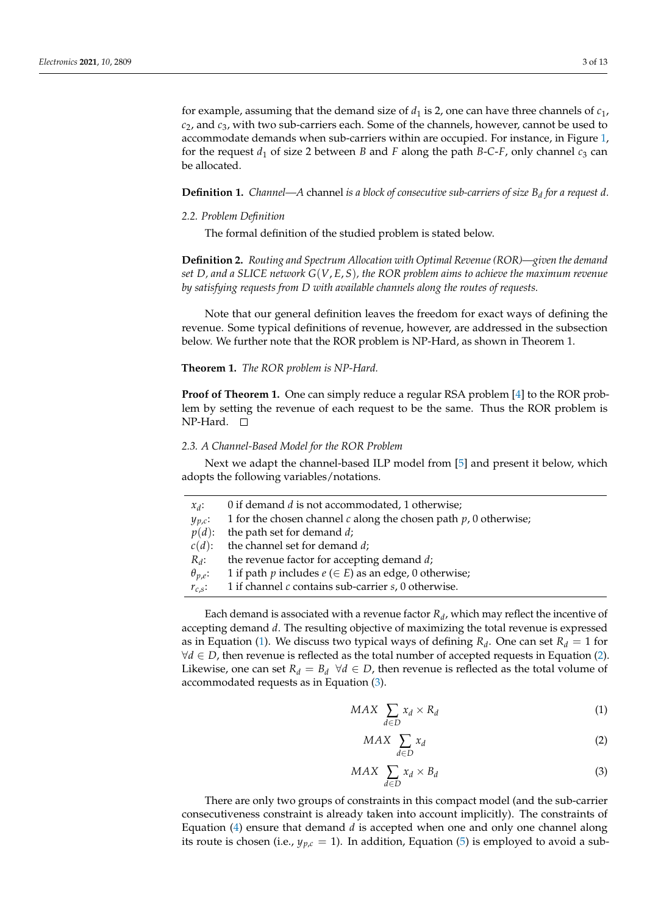for example, assuming that the demand size of  $d_1$  is 2, one can have three channels of  $c_1$ , *c*2, and *c*3, with two sub-carriers each. Some of the channels, however, cannot be used to accommodate demands when sub-carriers within are occupied. For instance, in Figure [1,](#page-2-1) for the request  $d_1$  of size 2 between *B* and *F* along the path *B*-*C*-*F*, only channel  $c_3$  can be allocated.

**Definition 1.** *Channel—A* channel *is a block of consecutive sub-carriers of size B<sup>d</sup> for a request d.*

#### *2.2. Problem Definition*

The formal definition of the studied problem is stated below.

**Definition 2.** *Routing and Spectrum Allocation with Optimal Revenue (ROR)—given the demand set D, and a SLICE network G*(*V*, *E*, *S*)*, the ROR problem aims to achieve the maximum revenue by satisfying requests from D with available channels along the routes of requests.*

Note that our general definition leaves the freedom for exact ways of defining the revenue. Some typical definitions of revenue, however, are addressed in the subsection below. We further note that the ROR problem is NP-Hard, as shown in Theorem 1.

#### **Theorem 1.** *The ROR problem is NP-Hard.*

**Proof of Theorem 1.** One can simply reduce a regular RSA problem [\[4\]](#page-12-1) to the ROR problem by setting the revenue of each request to be the same. Thus the ROR problem is NP-Hard. □

#### *2.3. A Channel-Based Model for the ROR Problem*

Next we adapt the channel-based ILP model from [\[5\]](#page-12-2) and present it below, which adopts the following variables/notations.

| $x_d$ :          | 0 if demand $d$ is not accommodated, 1 otherwise;                     |
|------------------|-----------------------------------------------------------------------|
| $y_{p,c}$ :      | 1 for the chosen channel $c$ along the chosen path $p$ , 0 otherwise; |
| $p(d)$ :         | the path set for demand d;                                            |
| $c(d)$ :         | the channel set for demand d;                                         |
| $R_d$ :          | the revenue factor for accepting demand d;                            |
| $\theta_{p,e}$ : | 1 if path p includes $e \in E$ as an edge, 0 otherwise;               |
| $r_{c,s}$ :      | 1 if channel $c$ contains sub-carrier $s$ , 0 otherwise.              |

Each demand is associated with a revenue factor *R<sup>d</sup>* , which may reflect the incentive of accepting demand *d*. The resulting objective of maximizing the total revenue is expressed as in Equation [\(1\)](#page-3-0). We discuss two typical ways of defining  $R_d$ . One can set  $R_d = 1$  for  $\forall d \in D$ , then revenue is reflected as the total number of accepted requests in Equation [\(2\)](#page-3-1). Likewise, one can set  $R_d = B_d \ \forall d \in D$ , then revenue is reflected as the total volume of accommodated requests as in Equation [\(3\)](#page-3-2).

<span id="page-3-0"></span>
$$
MAX \sum_{d \in D} x_d \times R_d \tag{1}
$$

<span id="page-3-1"></span>
$$
MAX \sum_{d \in D} x_d \tag{2}
$$

<span id="page-3-2"></span>
$$
MAX \sum_{d \in D} x_d \times B_d \tag{3}
$$

There are only two groups of constraints in this compact model (and the sub-carrier consecutiveness constraint is already taken into account implicitly). The constraints of Equation [\(4\)](#page-4-1) ensure that demand *d* is accepted when one and only one channel along its route is chosen (i.e.,  $y_{p,c} = 1$ ). In addition, Equation [\(5\)](#page-4-2) is employed to avoid a sub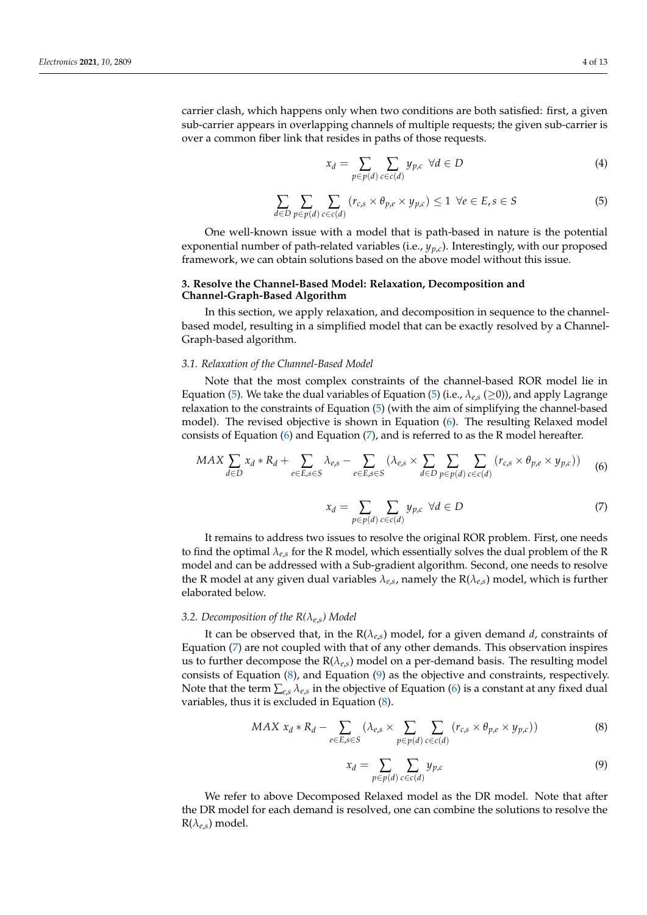carrier clash, which happens only when two conditions are both satisfied: first, a given sub-carrier appears in overlapping channels of multiple requests; the given sub-carrier is over a common fiber link that resides in paths of those requests.

<span id="page-4-1"></span>
$$
x_d = \sum_{p \in p(d)} \sum_{c \in c(d)} y_{p,c} \quad \forall d \in D \tag{4}
$$

<span id="page-4-2"></span>
$$
\sum_{d \in D} \sum_{p \in p(d)} \sum_{c \in c(d)} (r_{c,s} \times \theta_{p,e} \times y_{p,c}) \le 1 \ \forall e \in E, s \in S
$$
 (5)

One well-known issue with a model that is path-based in nature is the potential exponential number of path-related variables (i.e.,  $y_{p,c}$ ). Interestingly, with our proposed framework, we can obtain solutions based on the above model without this issue.

#### <span id="page-4-0"></span>**3. Resolve the Channel-Based Model: Relaxation, Decomposition and Channel-Graph-Based Algorithm**

In this section, we apply relaxation, and decomposition in sequence to the channelbased model, resulting in a simplified model that can be exactly resolved by a Channel-Graph-based algorithm.

#### *3.1. Relaxation of the Channel-Based Model*

Note that the most complex constraints of the channel-based ROR model lie in Equation [\(5\)](#page-4-2). We take the dual variables of Equation (5) (i.e.,  $\lambda_{e,s}$  ( $\geq$ 0)), and apply Lagrange relaxation to the constraints of Equation [\(5\)](#page-4-2) (with the aim of simplifying the channel-based model). The revised objective is shown in Equation [\(6\)](#page-4-3). The resulting Relaxed model consists of Equation [\(6\)](#page-4-3) and Equation [\(7\)](#page-4-4), and is referred to as the R model hereafter.

<span id="page-4-3"></span>
$$
MAX \sum_{d \in D} x_d * R_d + \sum_{e \in E, s \in S} \lambda_{e,s} - \sum_{e \in E, s \in S} (\lambda_{e,s} \times \sum_{d \in D} \sum_{p \in p(d)} \sum_{c \in c(d)} (r_{c,s} \times \theta_{p,e} \times y_{p,c})) \tag{6}
$$

<span id="page-4-4"></span>
$$
x_d = \sum_{p \in p(d)} \sum_{c \in c(d)} y_{p,c} \quad \forall d \in D \tag{7}
$$

It remains to address two issues to resolve the original ROR problem. First, one needs to find the optimal  $\lambda_{e,s}$  for the R model, which essentially solves the dual problem of the R model and can be addressed with a Sub-gradient algorithm. Second, one needs to resolve the R model at any given dual variables *λe*,*<sup>s</sup>* , namely the R(*λe*,*s*) model, which is further elaborated below.

#### *3.2. Decomposition of the R(λe*,*s) Model*

It can be observed that, in the  $R(\lambda_{e,s})$  model, for a given demand *d*, constraints of Equation [\(7\)](#page-4-4) are not coupled with that of any other demands. This observation inspires us to further decompose the  $R(\lambda_{e,s})$  model on a per-demand basis. The resulting model consists of Equation [\(8\)](#page-4-5), and Equation [\(9\)](#page-4-6) as the objective and constraints, respectively. Note that the term  $\sum_{e,s}\lambda_{e,s}$  in the objective of Equation [\(6\)](#page-4-3) is a constant at any fixed dual variables, thus it is excluded in Equation [\(8\)](#page-4-5).

<span id="page-4-5"></span>MAX 
$$
x_d * R_d - \sum_{e \in E, s \in S} (\lambda_{e,s} \times \sum_{p \in p(d)} \sum_{c \in c(d)} (r_{c,s} \times \theta_{p,e} \times y_{p,c}))
$$
 (8)

<span id="page-4-6"></span>
$$
x_d = \sum_{p \in p(d)} \sum_{c \in c(d)} y_{p,c} \tag{9}
$$

We refer to above Decomposed Relaxed model as the DR model. Note that after the DR model for each demand is resolved, one can combine the solutions to resolve the  $R(\lambda_{e,s})$  model.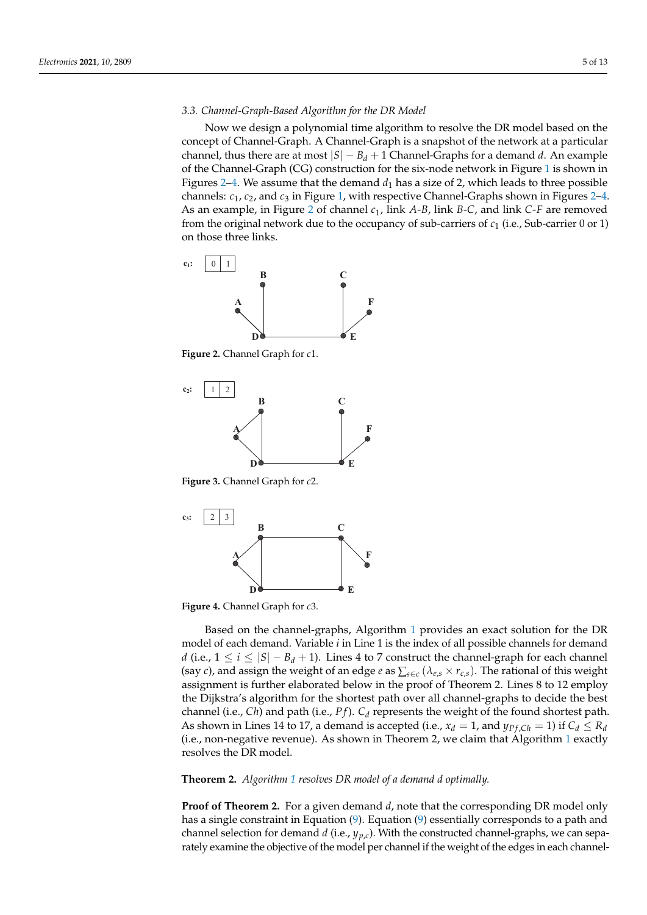#### *3.3. Channel-Graph-Based Algorithm for the DR Model*

Now we design a polynomial time algorithm to resolve the DR model based on the concept of Channel-Graph. A Channel-Graph is a snapshot of the network at a particular channel, thus there are at most  $|S| - B_d + 1$  Channel-Graphs for a demand *d*. An example of the Channel-Graph (CG) construction for the six-node network in Figure [1](#page-2-1) is shown in Figures [2](#page-5-0)[–4.](#page-5-1) We assume that the demand  $d_1$  has a size of 2, which leads to three possible channels: *c*1, *c*2, and *c*<sup>3</sup> in Figure [1,](#page-2-1) with respective Channel-Graphs shown in Figures [2–](#page-5-0)[4.](#page-5-1) As an example, in Figure [2](#page-5-0) of channel *c*1, link *A*-*B*, link *B*-*C*, and link *C*-*F* are removed from the original network due to the occupancy of sub-carriers of *c*<sup>1</sup> (i.e., Sub-carrier 0 or 1) on those three links.

<span id="page-5-0"></span>![](_page_5_Figure_4.jpeg)

**Figure 2.** Channel Graph for *c*1.

![](_page_5_Figure_6.jpeg)

**Figure 3.** Channel Graph for *c*2.

<span id="page-5-1"></span>![](_page_5_Figure_8.jpeg)

**Figure 4.** Channel Graph for *c*3.

Based on the channel-graphs, Algorithm [1](#page-6-1) provides an exact solution for the DR model of each demand. Variable *i* in Line 1 is the index of all possible channels for demand *d* (i.e.,  $1 \le i \le |S| - B_d + 1$ ). Lines 4 to 7 construct the channel-graph for each channel (say *c*), and assign the weight of an edge *e* as  $\sum_{s \in c} (\lambda_{e,s} \times r_{c,s})$ . The rational of this weight assignment is further elaborated below in the proof of Theorem 2. Lines 8 to 12 employ the Dijkstra's algorithm for the shortest path over all channel-graphs to decide the best channel (i.e., *Ch*) and path (i.e., *P f*). *C<sup>d</sup>* represents the weight of the found shortest path. As shown in Lines 14 to 17, a demand is accepted (i.e.,  $x_d = 1$ , and  $y_{Pf,Ch} = 1$ ) if  $C_d \leq R_d$ (i.e., non-negative revenue). As shown in Theorem 2, we claim that Algorithm [1](#page-6-1) exactly resolves the DR model.

#### **Theorem 2.** *Algorithm [1](#page-6-1) resolves DR model of a demand d optimally.*

**Proof of Theorem 2.** For a given demand *d*, note that the corresponding DR model only has a single constraint in Equation [\(9\)](#page-4-6). Equation [\(9\)](#page-4-6) essentially corresponds to a path and channel selection for demand *d* (i.e., *yp*,*c*). With the constructed channel-graphs, we can separately examine the objective of the model per channel if the weight of the edges in each channel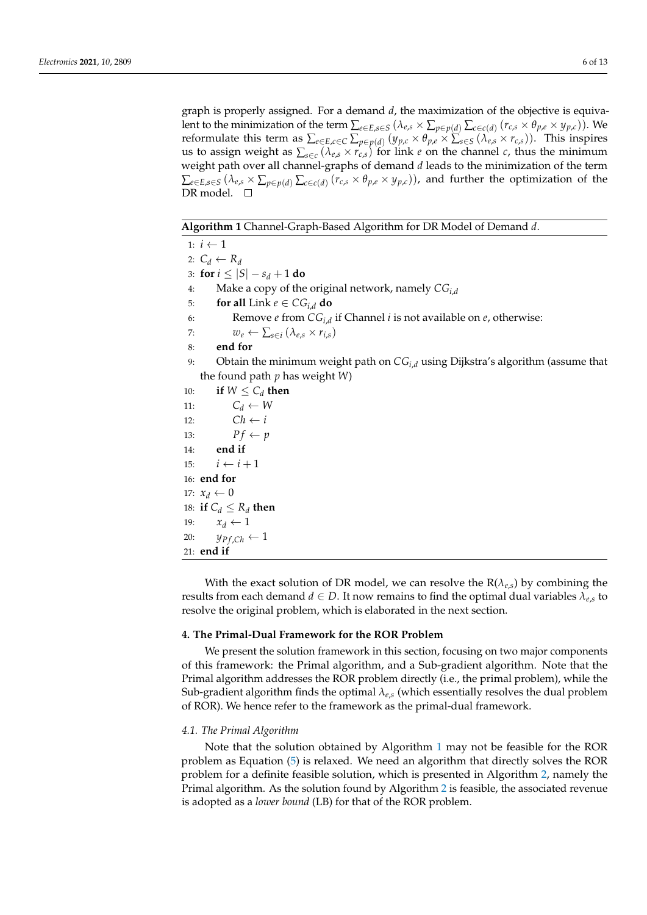graph is properly assigned. For a demand *d*, the maximization of the objective is equivalent to the minimization of the term  $\sum_{e\in E,s\in S}$   $(\lambda_{e,s}\times \sum_{p\in p(d)}\sum_{c\in c(d)}(r_{c,s}\times \theta_{p,e}\times y_{p,c}))$ . We reformulate this term as  $\sum_{e \in E, c \in C} \sum_{p \in p(d)} (y_{p,c} \times \theta_{p,e} \times \sum_{s \in S} (\lambda_{e,s} \times r_{c,s}))$ . This inspires us to assign weight as  $\sum_{s \in c} (\lambda_{e,s} \times r_{c,s})$  for link *e* on the channel *c*, thus the minimum weight path over all channel-graphs of demand *d* leads to the minimization of the term  $\sum_{e\in E,s\in S}(\lambda_{e,s}\times \sum_{p\in p(d)}\sum_{c\in c(d)}(r_{c,s}\times \theta_{p,e}\times y_{p,c}))$ , and further the optimization of the DR model. □

<span id="page-6-1"></span>**Algorithm 1** Channel-Graph-Based Algorithm for DR Model of Demand *d*.

```
1: i \leftarrow 12: C_d \leftarrow R_d3: for i \leq |S| - s_d + 1 do
 4: Make a copy of the original network, namely CGi,d
 5: for all Link e \in CG_{i,d} do
 6: Remove e from CG_{i,d} if Channel i is not available on e, otherwise:
 7: w_e \leftarrow \sum_{s \in i} (\lambda_{e,s} \times r_{i,s})8: end for
 9: Obtain the minimum weight path on CGi,d using Dijkstra's algorithm (assume that
    the found path p has weight W)
10: if W \leq C_d then
11: C_d \leftarrow W12: Ch \leftarrow i13: Pf \leftarrow p14: end if
15: i \leftarrow i + 116: end for
17: x_d \leftarrow 018: if C_d \leq R_d then
19: x_d \leftarrow 120: y_{Pf,Ch} \leftarrow 121: end if
```
With the exact solution of DR model, we can resolve the  $R(\lambda_{es})$  by combining the results from each demand  $d \in D$ . It now remains to find the optimal dual variables  $\lambda_{e,s}$  to resolve the original problem, which is elaborated in the next section.

#### <span id="page-6-0"></span>**4. The Primal-Dual Framework for the ROR Problem**

We present the solution framework in this section, focusing on two major components of this framework: the Primal algorithm, and a Sub-gradient algorithm. Note that the Primal algorithm addresses the ROR problem directly (i.e., the primal problem), while the Sub-gradient algorithm finds the optimal *λe*,*s* (which essentially resolves the dual problem of ROR). We hence refer to the framework as the primal-dual framework.

#### *4.1. The Primal Algorithm*

Note that the solution obtained by Algorithm [1](#page-6-1) may not be feasible for the ROR problem as Equation [\(5\)](#page-4-2) is relaxed. We need an algorithm that directly solves the ROR problem for a definite feasible solution, which is presented in Algorithm [2,](#page-7-0) namely the Primal algorithm. As the solution found by Algorithm [2](#page-7-0) is feasible, the associated revenue is adopted as a *lower bound* (LB) for that of the ROR problem.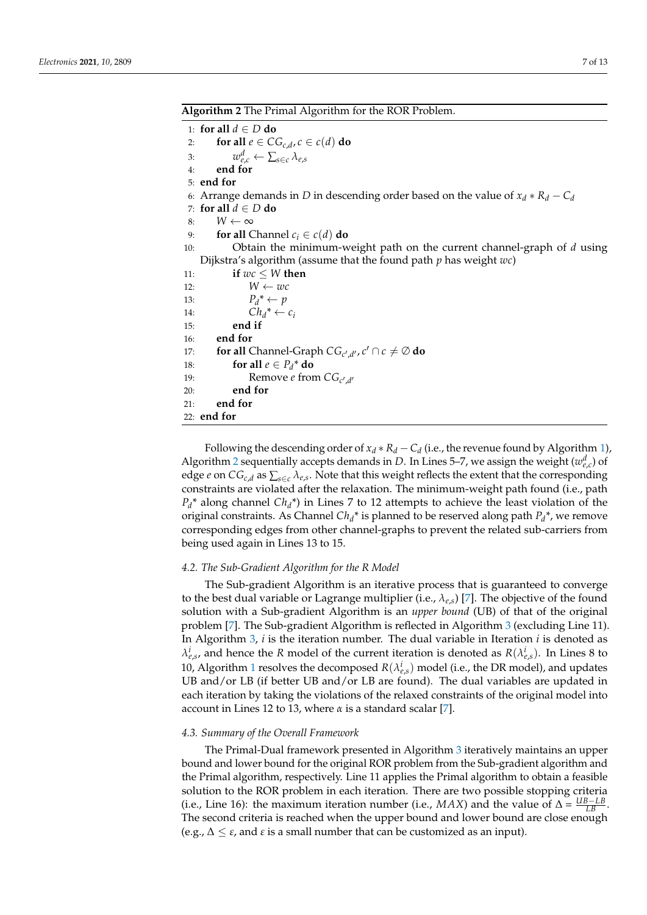<span id="page-7-0"></span>**Algorithm 2** The Primal Algorithm for the ROR Problem.

1: **for all** *d* ∈ *D* **do** 2: **for all**  $e \in CG_{c,d}$ ,  $c \in c(d)$  **do** 3:  $w_{e,c}^d \leftarrow \sum_{s \in c} \lambda_{e,s}$ 4: **end for** 5: **end for** 6: Arrange demands in *D* in descending order based on the value of  $x_d * R_d - C_d$ 7: **for all** *d* ∈ *D* **do** 8:  $W \leftarrow \infty$ 9: **for all** Channel  $c_i \in c(d)$  **do** 10: Obtain the minimum-weight path on the current channel-graph of *d* using Dijkstra's algorithm (assume that the found path *p* has weight *wc*) 11: **if**  $wc \leq W$  **then** 12:  $W \leftarrow wc$ 13:  $P_d^* \leftarrow p$ 14:  $Ch_d^* \leftarrow c_i$ 15: **end if** 16: **end for** 17: **for all** Channel-Graph  $CG_{c',d'}, c' \cap c \neq \emptyset$  do 18: **for all**  $e \in P_d^*$  **do** 19: Remove *e* from  $CG_{c',d'}$ 20: **end for** 21: **end for** 22: **end for**

Following the descending order of  $x_d * R_d - C_d$  (i.e., the revenue found by Algorithm [1\)](#page-6-1), Algorithm [2](#page-7-0) sequentially accepts demands in *D*. In Lines 5–7, we assign the weight  $(w_{e,c}^d)$  of edge *e* on *CGc*,*<sup>d</sup>* as ∑*s*∈*<sup>c</sup> λe*,*<sup>s</sup>* . Note that this weight reflects the extent that the corresponding constraints are violated after the relaxation. The minimum-weight path found (i.e., path  $P_d^*$  along channel  $Ch_d^*$ ) in Lines 7 to 12 attempts to achieve the least violation of the original constraints. As Channel *Ch<sup>d</sup>* \* is planned to be reserved along path *P<sup>d</sup>* \*, we remove corresponding edges from other channel-graphs to prevent the related sub-carriers from being used again in Lines 13 to 15.

#### *4.2. The Sub-Gradient Algorithm for the R Model*

The Sub-gradient Algorithm is an iterative process that is guaranteed to converge to the best dual variable or Lagrange multiplier (i.e., *λe*,*s*) [\[7\]](#page-12-4). The objective of the found solution with a Sub-gradient Algorithm is an *upper bound* (UB) of that of the original problem [\[7\]](#page-12-4). The Sub-gradient Algorithm is reflected in Algorithm [3](#page-8-1) (excluding Line 11). In Algorithm [3,](#page-8-1) *i* is the iteration number. The dual variable in Iteration *i* is denoted as  $\lambda_{e,s}^i$ , and hence the *R* model of the current iteration is denoted as  $R(\lambda_{e,s}^i)$ . In Lines 8 to [1](#page-6-1)0, Algorithm 1 resolves the decomposed  $R(\lambda_{e,s}^i)$  model (i.e., the DR model), and updates UB and/or LB (if better UB and/or LB are found). The dual variables are updated in each iteration by taking the violations of the relaxed constraints of the original model into account in Lines 12 to 13, where *α* is a standard scalar [\[7\]](#page-12-4).

#### *4.3. Summary of the Overall Framework*

The Primal-Dual framework presented in Algorithm [3](#page-8-1) iteratively maintains an upper bound and lower bound for the original ROR problem from the Sub-gradient algorithm and the Primal algorithm, respectively. Line 11 applies the Primal algorithm to obtain a feasible solution to the ROR problem in each iteration. There are two possible stopping criteria (i.e., Line 16): the maximum iteration number (i.e., *MAX*) and the value of  $\Delta = \frac{UB - LB}{LB}$ . The second criteria is reached when the upper bound and lower bound are close enough (e.g.,  $\Delta \leq \varepsilon$ , and  $\varepsilon$  is a small number that can be customized as an input).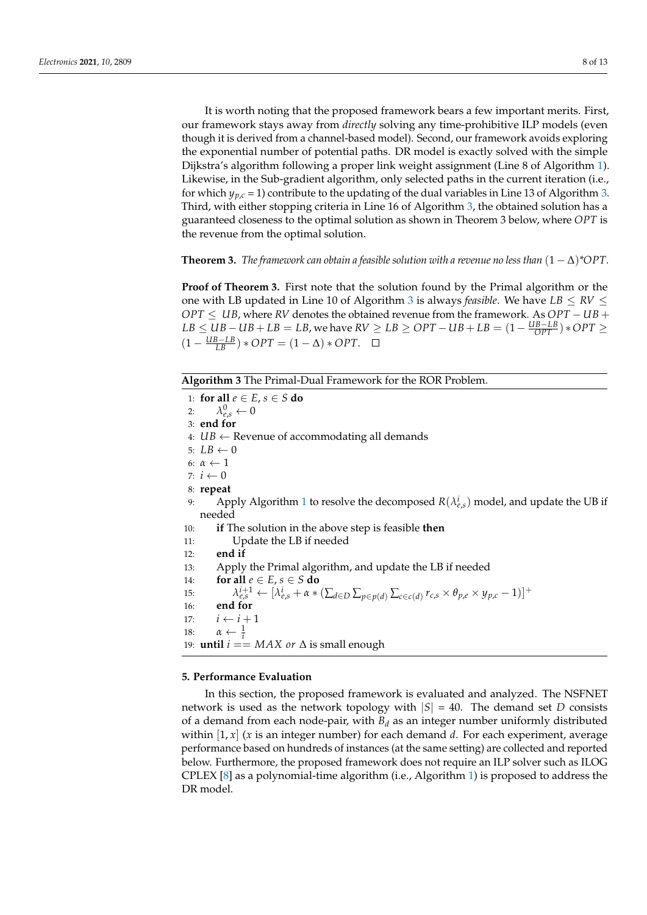It is worth noting that the proposed framework bears a few important merits. First, our framework stays away from *directly* solving any time-prohibitive ILP models (even though it is derived from a channel-based model). Second, our framework avoids exploring the exponential number of potential paths. DR model is exactly solved with the simple Dijkstra's algorithm following a proper link weight assignment (Line 8 of Algorithm [1\)](#page-6-1). Likewise, in the Sub-gradient algorithm, only selected paths in the current iteration (i.e., for which  $y_{p,c}$  = 1) contribute to the updating of the dual variables in Line 13 of Algorithm [3.](#page-8-1) Third, with either stopping criteria in Line 16 of Algorithm [3,](#page-8-1) the obtained solution has a guaranteed closeness to the optimal solution as shown in Theorem 3 below, where *OPT* is the revenue from the optimal solution.

**Theorem 3.** *The framework can obtain a feasible solution with a revenue no less than*  $(1 - \Delta)^*OPT$ .

**Proof of Theorem 3.** First note that the solution found by the Primal algorithm or the one with LB updated in Line 10 of Algorithm [3](#page-8-1) is always *feasible*. We have  $LB \leq RV \leq$ *OPT* ≤ *UB*, where *RV* denotes the obtained revenue from the framework. As *OPT* − *UB* + *LB* ≤ *UB* − *UB* + *LB* = *LB*, we have *RV* ≥ *LB* ≥ *OPT* − *UB* + *LB* =  $(1 - \frac{UB - LB}{OPT})$  \* *OPT* ≥  $(1 - \frac{UB - LB}{LB}) * OPT = (1 - \Delta) * OPT.$ 

<span id="page-8-1"></span>**Algorithm 3** The Primal-Dual Framework for the ROR Problem.

1: **for all**  $e \in E$ ,  $s \in S$  **do** 2:  $\lambda_{e,s}^0 \leftarrow 0$ 3: **end for** 4:  $UB \leftarrow$  Revenue of accommodating all demands 5:  $LB \leftarrow 0$ 6:  $\alpha \leftarrow 1$ 7:  $i \leftarrow 0$ 8: **repeat** 9: Apply Algorithm [1](#page-6-1) to resolve the decomposed  $R(\lambda_{e,s}^i)$  model, and update the UB if needed 10: **if** The solution in the above step is feasible **then** 11: Update the LB if needed 12: **end if** 13: Apply the Primal algorithm, and update the LB if needed 14: **for all**  $e \in E$ ,  $s \in S$  **do** 15:  $\lambda_{e,s}^{i+1} \leftarrow [\lambda_{e,s}^{i} + \alpha * (\sum_{d \in D} \sum_{p \in p(d)} \sum_{c \in c(d)} r_{c,s} \times \theta_{p,e} \times y_{p,c} - 1)]^+$ 16: **end for** 17:  $i \leftarrow i + 1$ 18:  $\alpha \leftarrow \frac{1}{i}$ 19: **until** *i* == *MAX or* ∆ is small enough

#### <span id="page-8-0"></span>**5. Performance Evaluation**

In this section, the proposed framework is evaluated and analyzed. The NSFNET network is used as the network topology with  $|S| = 40$ . The demand set *D* consists of a demand from each node-pair, with  $B_d$  as an integer number uniformly distributed within [1, *x*] (*x* is an integer number) for each demand *d*. For each experiment, average performance based on hundreds of instances (at the same setting) are collected and reported below. Furthermore, the proposed framework does not require an ILP solver such as ILOG CPLEX  $[8]$  as a polynomial-time algorithm (i.e., Algorithm [1\)](#page-6-1) is proposed to address the DR model.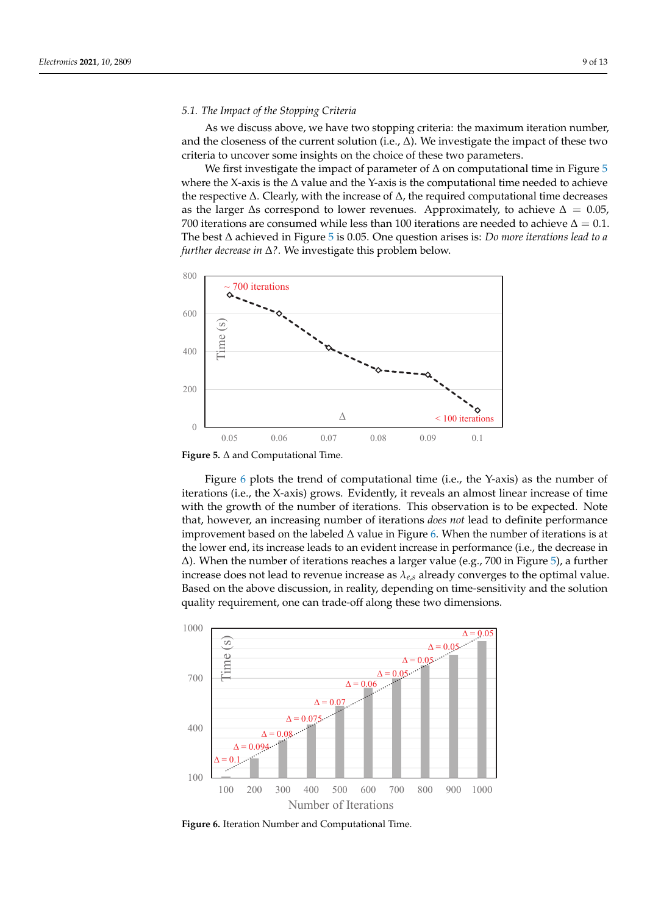#### *5.1. The Impact of the Stopping Criteria*

As we discuss above, we have two stopping criteria: the maximum iteration number, and the closeness of the current solution (i.e.,  $\Delta$ ). We investigate the impact of these two criteria to uncover some insights on the choice of these two parameters.

We first investigate the impact of parameter of  $\Delta$  on computational time in Figure [5](#page-9-0) where the X-axis is the ∆ value and the Y-axis is the computational time needed to achieve the respective  $\Delta$ . Clearly, with the increase of  $\Delta$ , the required computational time decreases as the larger  $\Delta$ s correspond to lower revenues. Approximately, to achieve  $\Delta = 0.05$ , 700 iterations are consumed while less than 100 iterations are needed to achieve  $\Delta = 0.1$ . The best ∆ achieved in Figure [5](#page-9-0) is 0.05. One question arises is: *Do more iterations lead to a further decrease in* ∆*?*. We investigate this problem below.

<span id="page-9-0"></span>![](_page_9_Figure_5.jpeg)

**Figure 5.** ∆ and Computational Time.

Figure [6](#page-9-1) plots the trend of computational time (i.e., the Y-axis) as the number of iterations (i.e., the X-axis) grows. Evidently, it reveals an almost linear increase of time with the growth of the number of iterations. This observation is to be expected. Note that, however, an increasing number of iterations *does not* lead to definite performance improvement based on the labeled  $\Delta$  value in Figure [6.](#page-9-1) When the number of iterations is at the lower end, its increase leads to an evident increase in performance (i.e., the decrease in ∆). When the number of iterations reaches a larger value (e.g., 700 in Figure [5\)](#page-9-0), a further increase does not lead to revenue increase as *λe*,*<sup>s</sup>* already converges to the optimal value. Based on the above discussion, in reality, depending on time-sensitivity and the solution quality requirement, one can trade-off along these two dimensions.

<span id="page-9-1"></span>![](_page_9_Figure_8.jpeg)

**Figure 6.** Iteration Number and Computational Time.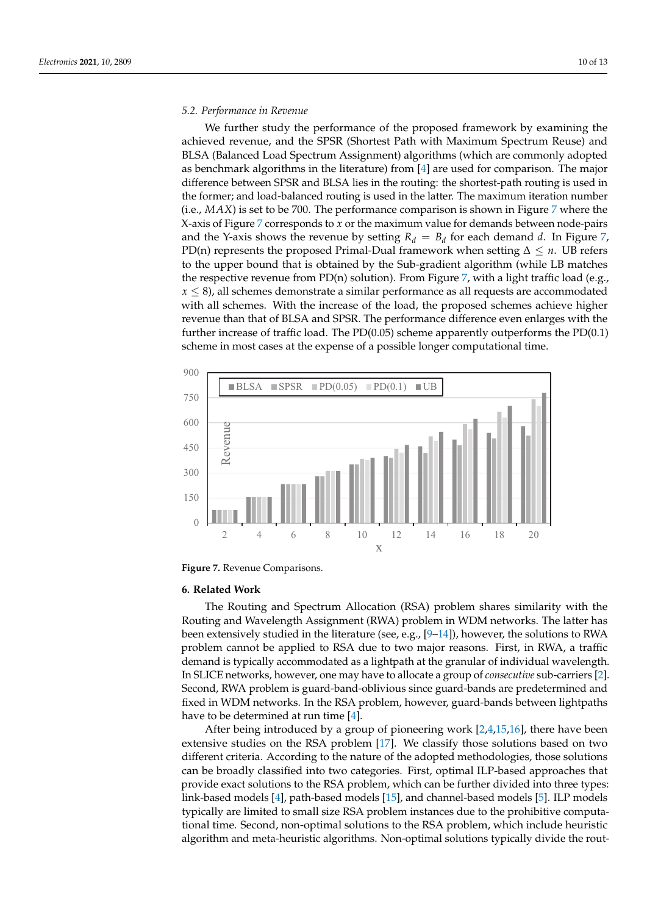#### *5.2. Performance in Revenue*

We further study the performance of the proposed framework by examining the achieved revenue, and the SPSR (Shortest Path with Maximum Spectrum Reuse) and BLSA (Balanced Load Spectrum Assignment) algorithms (which are commonly adopted as benchmark algorithms in the literature) from [\[4\]](#page-12-1) are used for comparison. The major difference between SPSR and BLSA lies in the routing: the shortest-path routing is used in the former; and load-balanced routing is used in the latter. The maximum iteration number (i.e., *MAX*) is set to be 700. The performance comparison is shown in Figure [7](#page-10-1) where the X-axis of Figure [7](#page-10-1) corresponds to *x* or the maximum value for demands between node-pairs and the Y-axis shows the revenue by setting  $R_d = B_d$  for each demand *d*. In Figure [7,](#page-10-1) PD(n) represents the proposed Primal-Dual framework when setting ∆ ≤ *n*. UB refers to the upper bound that is obtained by the Sub-gradient algorithm (while LB matches the respective revenue from PD(n) solution). From Figure [7,](#page-10-1) with a light traffic load (e.g., *x* ≤ 8), all schemes demonstrate a similar performance as all requests are accommodated with all schemes. With the increase of the load, the proposed schemes achieve higher revenue than that of BLSA and SPSR. The performance difference even enlarges with the further increase of traffic load. The PD(0.05) scheme apparently outperforms the PD(0.1) scheme in most cases at the expense of a possible longer computational time.

<span id="page-10-1"></span>![](_page_10_Figure_4.jpeg)

**Figure 7.** Revenue Comparisons.

#### <span id="page-10-0"></span>**6. Related Work**

The Routing and Spectrum Allocation (RSA) problem shares similarity with the Routing and Wavelength Assignment (RWA) problem in WDM networks. The latter has been extensively studied in the literature (see, e.g., [\[9](#page-12-6)[–14\]](#page-12-7)), however, the solutions to RWA problem cannot be applied to RSA due to two major reasons. First, in RWA, a traffic demand is typically accommodated as a lightpath at the granular of individual wavelength. In SLICE networks, however, one may have to allocate a group of *consecutive* sub-carriers [\[2\]](#page-11-1). Second, RWA problem is guard-band-oblivious since guard-bands are predetermined and fixed in WDM networks. In the RSA problem, however, guard-bands between lightpaths have to be determined at run time [\[4\]](#page-12-1).

After being introduced by a group of pioneering work [\[2](#page-11-1)[,4](#page-12-1)[,15](#page-12-8)[,16\]](#page-12-9), there have been extensive studies on the RSA problem [\[17\]](#page-12-10). We classify those solutions based on two different criteria. According to the nature of the adopted methodologies, those solutions can be broadly classified into two categories. First, optimal ILP-based approaches that provide exact solutions to the RSA problem, which can be further divided into three types: link-based models [\[4\]](#page-12-1), path-based models [\[15\]](#page-12-8), and channel-based models [\[5\]](#page-12-2). ILP models typically are limited to small size RSA problem instances due to the prohibitive computational time. Second, non-optimal solutions to the RSA problem, which include heuristic algorithm and meta-heuristic algorithms. Non-optimal solutions typically divide the rout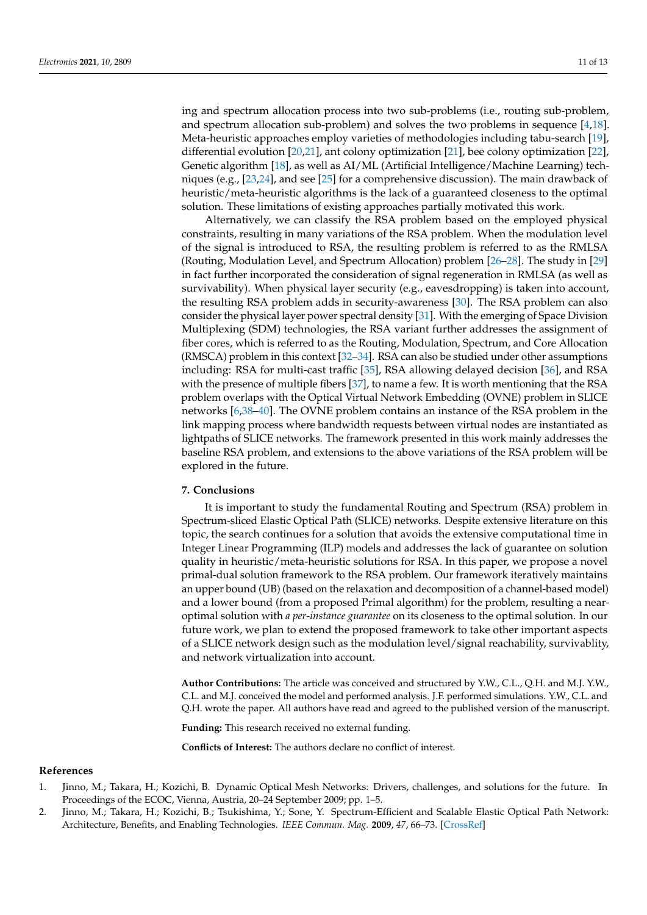ing and spectrum allocation process into two sub-problems (i.e., routing sub-problem, and spectrum allocation sub-problem) and solves the two problems in sequence [\[4,](#page-12-1)[18\]](#page-12-11). Meta-heuristic approaches employ varieties of methodologies including tabu-search [\[19\]](#page-12-12), differential evolution [\[20,](#page-12-13)[21\]](#page-12-14), ant colony optimization [\[21\]](#page-12-14), bee colony optimization [\[22\]](#page-12-15), Genetic algorithm [\[18\]](#page-12-11), as well as AI/ML (Artificial Intelligence/Machine Learning) techniques (e.g., [\[23,](#page-12-16)[24\]](#page-12-17), and see [\[25\]](#page-12-18) for a comprehensive discussion). The main drawback of heuristic/meta-heuristic algorithms is the lack of a guaranteed closeness to the optimal solution. These limitations of existing approaches partially motivated this work.

Alternatively, we can classify the RSA problem based on the employed physical constraints, resulting in many variations of the RSA problem. When the modulation level of the signal is introduced to RSA, the resulting problem is referred to as the RMLSA (Routing, Modulation Level, and Spectrum Allocation) problem [\[26](#page-12-19)[–28\]](#page-12-20). The study in [\[29\]](#page-12-21) in fact further incorporated the consideration of signal regeneration in RMLSA (as well as survivability). When physical layer security (e.g., eavesdropping) is taken into account, the resulting RSA problem adds in security-awareness [\[30\]](#page-12-22). The RSA problem can also consider the physical layer power spectral density [\[31\]](#page-13-0). With the emerging of Space Division Multiplexing (SDM) technologies, the RSA variant further addresses the assignment of fiber cores, which is referred to as the Routing, Modulation, Spectrum, and Core Allocation (RMSCA) problem in this context [\[32](#page-13-1)[–34\]](#page-13-2). RSA can also be studied under other assumptions including: RSA for multi-cast traffic [\[35\]](#page-13-3), RSA allowing delayed decision [\[36\]](#page-13-4), and RSA with the presence of multiple fibers [\[37\]](#page-13-5), to name a few. It is worth mentioning that the RSA problem overlaps with the Optical Virtual Network Embedding (OVNE) problem in SLICE networks [\[6](#page-12-3)[,38–](#page-13-6)[40\]](#page-13-7). The OVNE problem contains an instance of the RSA problem in the link mapping process where bandwidth requests between virtual nodes are instantiated as lightpaths of SLICE networks. The framework presented in this work mainly addresses the baseline RSA problem, and extensions to the above variations of the RSA problem will be explored in the future.

#### <span id="page-11-2"></span>**7. Conclusions**

It is important to study the fundamental Routing and Spectrum (RSA) problem in Spectrum-sliced Elastic Optical Path (SLICE) networks. Despite extensive literature on this topic, the search continues for a solution that avoids the extensive computational time in Integer Linear Programming (ILP) models and addresses the lack of guarantee on solution quality in heuristic/meta-heuristic solutions for RSA. In this paper, we propose a novel primal-dual solution framework to the RSA problem. Our framework iteratively maintains an upper bound (UB) (based on the relaxation and decomposition of a channel-based model) and a lower bound (from a proposed Primal algorithm) for the problem, resulting a nearoptimal solution with *a per-instance guarantee* on its closeness to the optimal solution. In our future work, we plan to extend the proposed framework to take other important aspects of a SLICE network design such as the modulation level/signal reachability, survivablity, and network virtualization into account.

**Author Contributions:** The article was conceived and structured by Y.W., C.L., Q.H. and M.J. Y.W., C.L. and M.J. conceived the model and performed analysis. J.F. performed simulations. Y.W., C.L. and Q.H. wrote the paper. All authors have read and agreed to the published version of the manuscript.

**Funding:** This research received no external funding.

**Conflicts of Interest:** The authors declare no conflict of interest.

#### **References**

- <span id="page-11-0"></span>1. Jinno, M.; Takara, H.; Kozichi, B. Dynamic Optical Mesh Networks: Drivers, challenges, and solutions for the future. In Proceedings of the ECOC, Vienna, Austria, 20–24 September 2009; pp. 1–5.
- <span id="page-11-1"></span>2. Jinno, M.; Takara, H.; Kozichi, B.; Tsukishima, Y.; Sone, Y. Spectrum-Efficient and Scalable Elastic Optical Path Network: Architecture, Benefits, and Enabling Technologies. *IEEE Commun. Mag.* **2009**, *47*, 66–73. [\[CrossRef\]](http://doi.org/10.1109/MCOM.2009.5307468)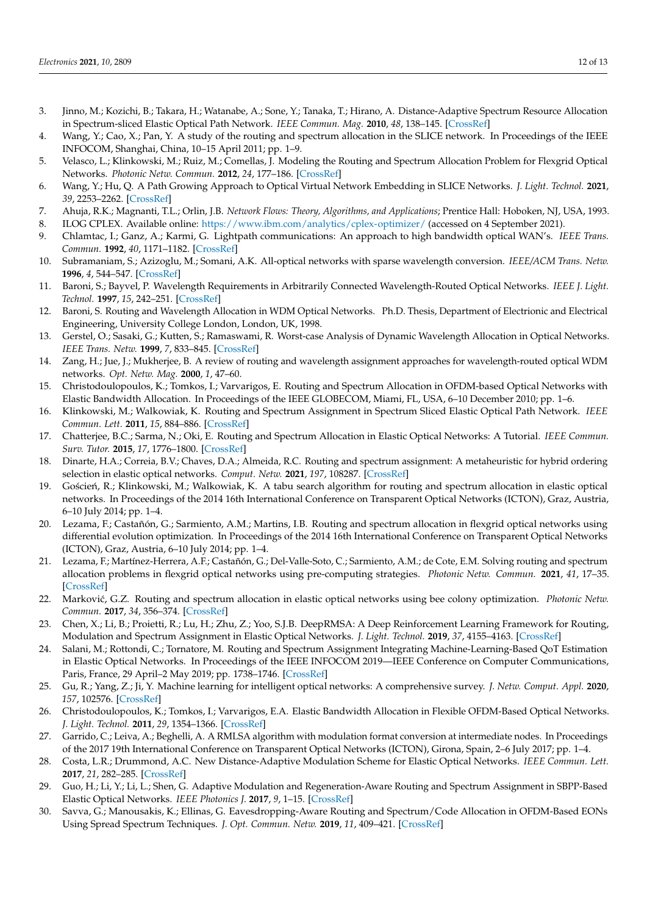- <span id="page-12-0"></span>3. Jinno, M.; Kozichi, B.; Takara, H.; Watanabe, A.; Sone, Y.; Tanaka, T.; Hirano, A. Distance-Adaptive Spectrum Resource Allocation in Spectrum-sliced Elastic Optical Path Network. *IEEE Commun. Mag.* **2010**, *48*, 138–145. [\[CrossRef\]](http://dx.doi.org/10.1109/MCOM.2010.5534599)
- <span id="page-12-1"></span>4. Wang, Y.; Cao, X.; Pan, Y. A study of the routing and spectrum allocation in the SLICE network. In Proceedings of the IEEE INFOCOM, Shanghai, China, 10–15 April 2011; pp. 1–9.
- <span id="page-12-2"></span>5. Velasco, L.; Klinkowski, M.; Ruiz, M.; Comellas, J. Modeling the Routing and Spectrum Allocation Problem for Flexgrid Optical Networks. *Photonic Netw. Commun.* **2012**, *24*, 177–186. [\[CrossRef\]](http://dx.doi.org/10.1007/s11107-012-0378-7)
- <span id="page-12-3"></span>6. Wang, Y.; Hu, Q. A Path Growing Approach to Optical Virtual Network Embedding in SLICE Networks. *J. Light. Technol.* **2021**, *39*, 2253–2262. [\[CrossRef\]](http://dx.doi.org/10.1109/JLT.2020.3047713)
- <span id="page-12-4"></span>7. Ahuja, R.K.; Magnanti, T.L.; Orlin, J.B. *Network Flows: Theory, Algorithms, and Applications*; Prentice Hall: Hoboken, NJ, USA, 1993.
- <span id="page-12-6"></span><span id="page-12-5"></span>8. ILOG CPLEX. Available online: <https://www.ibm.com/analytics/cplex-optimizer/> (accessed on 4 September 2021). 9. Chlamtac, I.; Ganz, A.; Karmi, G. Lightpath communications: An approach to high bandwidth optical WAN's. *IEEE Trans. Commun.* **1992**, *40*, 1171–1182. [\[CrossRef\]](http://dx.doi.org/10.1109/26.153361)
- 10. Subramaniam, S.; Azizoglu, M.; Somani, A.K. All-optical networks with sparse wavelength conversion. *IEEE/ACM Trans. Netw.* **1996**, *4*, 544–547. [\[CrossRef\]](http://dx.doi.org/10.1109/90.532864)
- 11. Baroni, S.; Bayvel, P. Wavelength Requirements in Arbitrarily Connected Wavelength-Routed Optical Networks. *IEEE J. Light. Technol.* **1997**, *15*, 242–251. [\[CrossRef\]](http://dx.doi.org/10.1109/50.554330)
- 12. Baroni, S. Routing and Wavelength Allocation in WDM Optical Networks. Ph.D. Thesis, Department of Electrionic and Electrical Engineering, University College London, London, UK, 1998.
- 13. Gerstel, O.; Sasaki, G.; Kutten, S.; Ramaswami, R. Worst-case Analysis of Dynamic Wavelength Allocation in Optical Networks. *IEEE Trans. Netw.* **1999**, *7*, 833–845. [\[CrossRef\]](http://dx.doi.org/10.1109/90.811449)
- <span id="page-12-7"></span>14. Zang, H.; Jue, J.; Mukherjee, B. A review of routing and wavelength assignment approaches for wavelength-routed optical WDM networks. *Opt. Netw. Mag.* **2000**, *1*, 47–60.
- <span id="page-12-8"></span>15. Christodoulopoulos, K.; Tomkos, I.; Varvarigos, E. Routing and Spectrum Allocation in OFDM-based Optical Networks with Elastic Bandwidth Allocation. In Proceedings of the IEEE GLOBECOM, Miami, FL, USA, 6–10 December 2010; pp. 1–6.
- <span id="page-12-9"></span>16. Klinkowski, M.; Walkowiak, K. Routing and Spectrum Assignment in Spectrum Sliced Elastic Optical Path Network. *IEEE Commun. Lett.* **2011**, *15*, 884–886. [\[CrossRef\]](http://dx.doi.org/10.1109/LCOMM.2011.060811.110281)
- <span id="page-12-10"></span>17. Chatterjee, B.C.; Sarma, N.; Oki, E. Routing and Spectrum Allocation in Elastic Optical Networks: A Tutorial. *IEEE Commun. Surv. Tutor.* **2015**, *17*, 1776–1800. [\[CrossRef\]](http://dx.doi.org/10.1109/COMST.2015.2431731)
- <span id="page-12-11"></span>18. Dinarte, H.A.; Correia, B.V.; Chaves, D.A.; Almeida, R.C. Routing and spectrum assignment: A metaheuristic for hybrid ordering selection in elastic optical networks. *Comput. Netw.* **2021**, *197*, 108287. [\[CrossRef\]](http://dx.doi.org/10.1016/j.comnet.2021.108287)
- <span id="page-12-12"></span>19. Goścień, R.; Klinkowski, M.; Walkowiak, K. A tabu search algorithm for routing and spectrum allocation in elastic optical networks. In Proceedings of the 2014 16th International Conference on Transparent Optical Networks (ICTON), Graz, Austria, 6–10 July 2014; pp. 1–4.
- <span id="page-12-13"></span>20. Lezama, F.; Castañón, G.; Sarmiento, A.M.; Martins, I.B. Routing and spectrum allocation in flexgrid optical networks using differential evolution optimization. In Proceedings of the 2014 16th International Conference on Transparent Optical Networks (ICTON), Graz, Austria, 6–10 July 2014; pp. 1–4.
- <span id="page-12-14"></span>21. Lezama, F.; Martínez-Herrera, A.F.; Castañón, G.; Del-Valle-Soto, C.; Sarmiento, A.M.; de Cote, E.M. Solving routing and spectrum allocation problems in flexgrid optical networks using pre-computing strategies. *Photonic Netw. Commun.* **2021**, *41*, 17–35. [\[CrossRef\]](http://dx.doi.org/10.1007/s11107-020-00918-4)
- <span id="page-12-15"></span>22. Marković, G.Z. Routing and spectrum allocation in elastic optical networks using bee colony optimization. *Photonic Netw. Commun.* **2017**, *34*, 356–374. [\[CrossRef\]](http://dx.doi.org/10.1007/s11107-017-0706-z)
- <span id="page-12-16"></span>23. Chen, X.; Li, B.; Proietti, R.; Lu, H.; Zhu, Z.; Yoo, S.J.B. DeepRMSA: A Deep Reinforcement Learning Framework for Routing, Modulation and Spectrum Assignment in Elastic Optical Networks. *J. Light. Technol.* **2019**, *37*, 4155–4163. [\[CrossRef\]](http://dx.doi.org/10.1109/JLT.2019.2923615)
- <span id="page-12-17"></span>24. Salani, M.; Rottondi, C.; Tornatore, M. Routing and Spectrum Assignment Integrating Machine-Learning-Based QoT Estimation in Elastic Optical Networks. In Proceedings of the IEEE INFOCOM 2019—IEEE Conference on Computer Communications, Paris, France, 29 April–2 May 2019; pp. 1738–1746. [\[CrossRef\]](http://dx.doi.org/10.1109/INFOCOM.2019.8737413)
- <span id="page-12-18"></span>25. Gu, R.; Yang, Z.; Ji, Y. Machine learning for intelligent optical networks: A comprehensive survey. *J. Netw. Comput. Appl.* **2020**, *157*, 102576. [\[CrossRef\]](http://dx.doi.org/10.1016/j.jnca.2020.102576)
- <span id="page-12-19"></span>26. Christodoulopoulos, K.; Tomkos, I.; Varvarigos, E.A. Elastic Bandwidth Allocation in Flexible OFDM-Based Optical Networks. *J. Light. Technol.* **2011**, *29*, 1354–1366. [\[CrossRef\]](http://dx.doi.org/10.1109/JLT.2011.2125777)
- 27. Garrido, C.; Leiva, A.; Beghelli, A. A RMLSA algorithm with modulation format conversion at intermediate nodes. In Proceedings of the 2017 19th International Conference on Transparent Optical Networks (ICTON), Girona, Spain, 2–6 July 2017; pp. 1–4.
- <span id="page-12-20"></span>28. Costa, L.R.; Drummond, A.C. New Distance-Adaptive Modulation Scheme for Elastic Optical Networks. *IEEE Commun. Lett.* **2017**, *21*, 282–285. [\[CrossRef\]](http://dx.doi.org/10.1109/LCOMM.2016.2624288)
- <span id="page-12-21"></span>29. Guo, H.; Li, Y.; Li, L.; Shen, G. Adaptive Modulation and Regeneration-Aware Routing and Spectrum Assignment in SBPP-Based Elastic Optical Networks. *IEEE Photonics J.* **2017**, *9*, 1–15. [\[CrossRef\]](http://dx.doi.org/10.1109/JPHOT.2017.2685418)
- <span id="page-12-22"></span>30. Savva, G.; Manousakis, K.; Ellinas, G. Eavesdropping-Aware Routing and Spectrum/Code Allocation in OFDM-Based EONs Using Spread Spectrum Techniques. *J. Opt. Commun. Netw.* **2019**, *11*, 409–421. [\[CrossRef\]](http://dx.doi.org/10.1364/JOCN.11.000409)